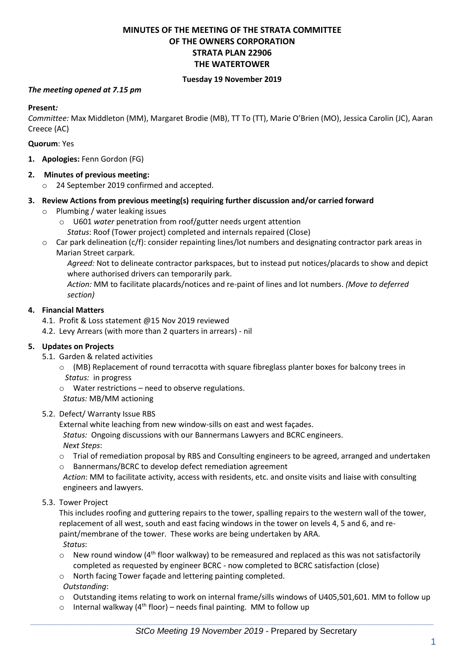# **MINUTES OF THE MEETING OF THE STRATA COMMITTEE OF THE OWNERS CORPORATION STRATA PLAN 22906 THE WATERTOWER**

#### **Tuesday 19 November 2019**

#### *The meeting opened at 7.15 pm*

#### **Present***:*

*Committee:* Max Middleton (MM), Margaret Brodie (MB), TT To (TT), Marie O'Brien (MO), Jessica Carolin (JC), Aaran Creece (AC)

#### **Quorum**: Yes

**1. Apologies:** Fenn Gordon (FG)

#### **2. Minutes of previous meeting:**

o 24 September 2019 confirmed and accepted.

#### **3. Review Actions from previous meeting(s) requiring further discussion and/or carried forward**

- o Plumbing / water leaking issues
	- o U601 *water* penetration from roof/gutter needs urgent attention *Status*: Roof (Tower project) completed and internals repaired (Close)
- o Car park delineation (c/f): consider repainting lines/lot numbers and designating contractor park areas in Marian Street carpark.

*Agreed:* Not to delineate contractor parkspaces, but to instead put notices/placards to show and depict where authorised drivers can temporarily park.

*Action:* MM to facilitate placards/notices and re-paint of lines and lot numbers. *(Move to deferred section)*

#### **4. Financial Matters**

- 4.1. Profit & Loss statement @15 Nov 2019 reviewed
- 4.2. Levy Arrears (with more than 2 quarters in arrears) nil

#### **5. Updates on Projects**

- 5.1. Garden & related activities
	- o (MB) Replacement of round terracotta with square fibreglass planter boxes for balcony trees in *Status:* in progress
	- o Water restrictions need to observe regulations.
	- *Status:* MB/MM actioning
- 5.2. Defect/ Warranty Issue RBS

External white leaching from new window-sills on east and west façades.

*Status:* Ongoing discussions with our Bannermans Lawyers and BCRC engineers.

*Next Steps*:

- o Trial of remediation proposal by RBS and Consulting engineers to be agreed, arranged and undertaken
- o Bannermans/BCRC to develop defect remediation agreement

*Action*: MM to facilitate activity, access with residents, etc. and onsite visits and liaise with consulting engineers and lawyers.

5.3. Tower Project

This includes roofing and guttering repairs to the tower, spalling repairs to the western wall of the tower, replacement of all west, south and east facing windows in the tower on levels 4, 5 and 6, and repaint/membrane of the tower. These works are being undertaken by ARA.

*Status*:

- $\circ$  New round window (4<sup>th</sup> floor walkway) to be remeasured and replaced as this was not satisfactorily completed as requested by engineer BCRC - now completed to BCRC satisfaction (close)
- o North facing Tower façade and lettering painting completed.

#### *Outstanding*:

- o Outstanding items relating to work on internal frame/sills windows of U405,501,601. MM to follow up
- $\circ$  Internal walkway (4<sup>th</sup> floor) needs final painting. MM to follow up

 $\_$  , and the set of the set of the set of the set of the set of the set of the set of the set of the set of the set of the set of the set of the set of the set of the set of the set of the set of the set of the set of th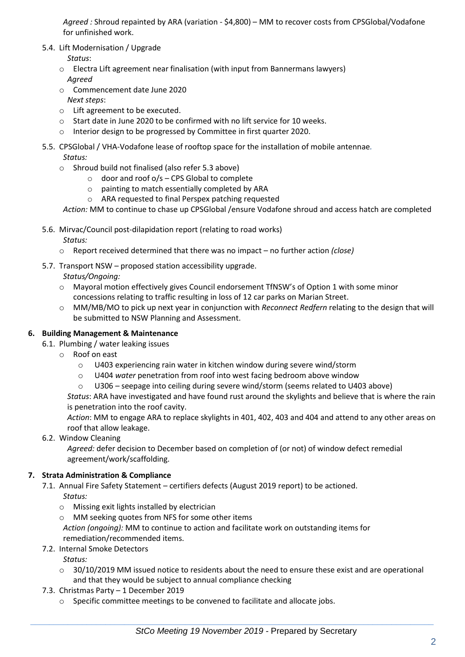*Agreed :* Shroud repainted by ARA (variation - \$4,800) – MM to recover costs from CPSGlobal/Vodafone for unfinished work.

5.4. Lift Modernisation / Upgrade

*Status*:

- o Electra Lift agreement near finalisation (with input from Bannermans lawyers) *Agreed*
- o Commencement date June 2020 *Next steps*:
- o Lift agreement to be executed.
- o Start date in June 2020 to be confirmed with no lift service for 10 weeks.
- o Interior design to be progressed by Committee in first quarter 2020.

# 5.5. CPSGlobal / VHA-Vodafone lease of rooftop space for the installation of mobile antennae*. Status:*

- o Shroud build not finalised (also refer 5.3 above)
	- $\circ$  door and roof  $o/s$  CPS Global to complete
	- o painting to match essentially completed by ARA
	- o ARA requested to final Perspex patching requested

*Action:* MM to continue to chase up CPSGlobal /ensure Vodafone shroud and access hatch are completed

- 5.6. Mirvac/Council post-dilapidation report (relating to road works) *Status:*
	- o Report received determined that there was no impact no further action *(close)*
- 5.7. Transport NSW proposed station accessibility upgrade.

*Status/Ongoing:*

- o Mayoral motion effectively gives Council endorsement TfNSW's of Option 1 with some minor concessions relating to traffic resulting in loss of 12 car parks on Marian Street.
- o MM/MB/MO to pick up next year in conjunction with *Reconnect Redfern* relating to the design that will be submitted to NSW Planning and Assessment.

# **6. Building Management & Maintenance**

- 6.1. Plumbing / water leaking issues
	- o Roof on east
		- o U403 experiencing rain water in kitchen window during severe wind/storm
		- o U404 *water* penetration from roof into west facing bedroom above window
		- o U306 seepage into ceiling during severe wind/storm (seems related to U403 above)

*Status*: ARA have investigated and have found rust around the skylights and believe that is where the rain is penetration into the roof cavity.

*Action*: MM to engage ARA to replace skylights in 401, 402, 403 and 404 and attend to any other areas on roof that allow leakage.

6.2. Window Cleaning

*Agreed:* defer decision to December based on completion of (or not) of window defect remedial agreement/work/scaffolding.

# **7. Strata Administration & Compliance**

7.1. Annual Fire Safety Statement – certifiers defects (August 2019 report) to be actioned. *Status:* 

- o Missing exit lights installed by electrician
- o MM seeking quotes from NFS for some other items

*Action (ongoing):* MM to continue to action and facilitate work on outstanding items for remediation/recommended items.

7.2. Internal Smoke Detectors

*Status:* 

- o 30/10/2019 MM issued notice to residents about the need to ensure these exist and are operational and that they would be subject to annual compliance checking
- 7.3. Christmas Party 1 December 2019
	- o Specific committee meetings to be convened to facilitate and allocate jobs.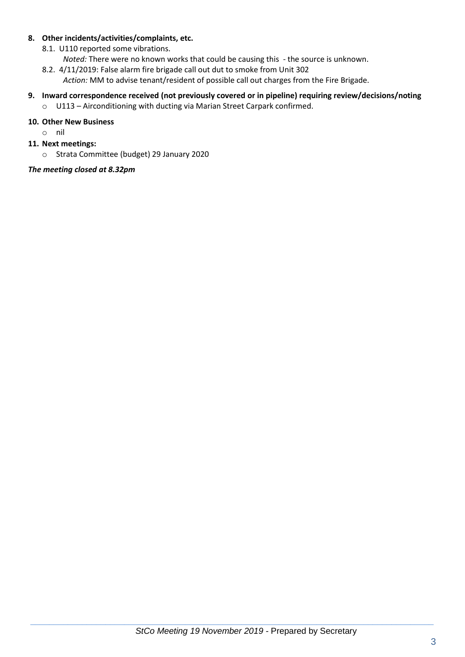#### **8. Other incidents/activities/complaints, etc.**

- 8.1. U110 reported some vibrations.
	- *Noted:* There were no known works that could be causing this the source is unknown.
- 8.2. 4/11/2019: False alarm fire brigade call out dut to smoke from Unit 302 *Action:* MM to advise tenant/resident of possible call out charges from the Fire Brigade.

# **9. Inward correspondence received (not previously covered or in pipeline) requiring review/decisions/noting**

o U113 – Airconditioning with ducting via Marian Street Carpark confirmed.

# **10. Other New Business**

- o nil
- **11. Next meetings:** 
	- o Strata Committee (budget) 29 January 2020

# *The meeting closed at 8.32pm*

 $\_$  , and the set of the set of the set of the set of the set of the set of the set of the set of the set of the set of the set of the set of the set of the set of the set of the set of the set of the set of the set of th